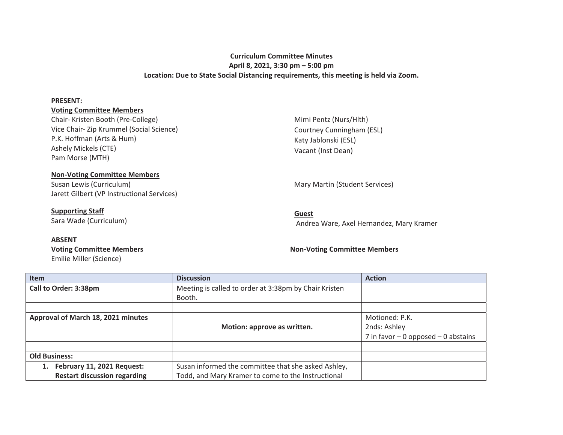# **Curriculum Committee Minutes April 8, 2021, 3:30 pm – 5:00 pm Location: Due to State Social Distancing requirements, this meeting is held via Zoom.**

#### **PRESENT:**

## **Voting Committee Members**

Chair- Kristen Booth (Pre-College) Vice Chair- Zip Krummel (Social Science) P.K. Hoffman (Arts & Hum) Ashely Mickels (CTE) Pam Morse (MTH)

Mimi Pentz (Nurs/Hlth) Courtney Cunningham (ESL) Katy Jablonski (ESL) Vacant (Inst Dean)

### **Non-Voting Committee Members**

Susan Lewis (Curriculum) and Martin (Student Services) Mary Martin (Student Services) Jarett Gilbert (VP Instructional Services)

# **Supporting Staff**

Sara Wade (Curriculum)

## **ABSENT**

Emilie Miller (Science)

Andrea Ware, Axel Hernandez, Mary Kramer

**Guest** 

## **Voting Committee Members Non-Voting Committee Members**

| Item                                | <b>Discussion</b>                                     | <b>Action</b>                         |
|-------------------------------------|-------------------------------------------------------|---------------------------------------|
| Call to Order: 3:38pm               | Meeting is called to order at 3:38pm by Chair Kristen |                                       |
|                                     | Booth.                                                |                                       |
|                                     |                                                       |                                       |
| Approval of March 18, 2021 minutes  |                                                       | Motioned: P.K.                        |
|                                     | Motion: approve as written.                           | 2nds: Ashley                          |
|                                     |                                                       | 7 in favor $-0$ opposed $-0$ abstains |
|                                     |                                                       |                                       |
| <b>Old Business:</b>                |                                                       |                                       |
| February 11, 2021 Request:<br>1.    | Susan informed the committee that she asked Ashley,   |                                       |
| <b>Restart discussion regarding</b> | Todd, and Mary Kramer to come to the Instructional    |                                       |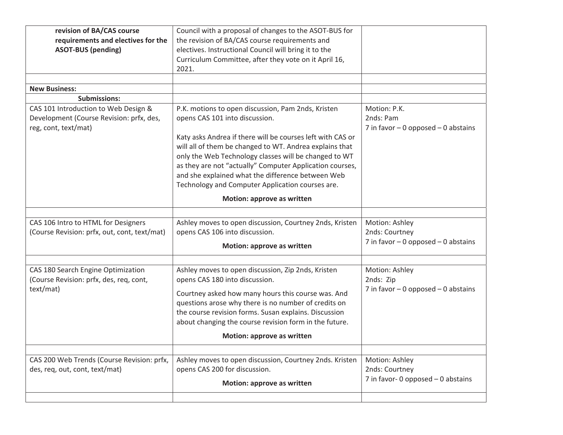| revision of BA/CAS course<br>requirements and electives for the<br><b>ASOT-BUS (pending)</b>             | Council with a proposal of changes to the ASOT-BUS for<br>the revision of BA/CAS course requirements and<br>electives. Instructional Council will bring it to the<br>Curriculum Committee, after they vote on it April 16,<br>2021.                                                                                                                                                                                                         |                                                                           |
|----------------------------------------------------------------------------------------------------------|---------------------------------------------------------------------------------------------------------------------------------------------------------------------------------------------------------------------------------------------------------------------------------------------------------------------------------------------------------------------------------------------------------------------------------------------|---------------------------------------------------------------------------|
| <b>New Business:</b>                                                                                     |                                                                                                                                                                                                                                                                                                                                                                                                                                             |                                                                           |
| <b>Submissions:</b>                                                                                      |                                                                                                                                                                                                                                                                                                                                                                                                                                             |                                                                           |
| CAS 101 Introduction to Web Design &<br>Development (Course Revision: prfx, des,<br>reg, cont, text/mat) | P.K. motions to open discussion, Pam 2nds, Kristen<br>opens CAS 101 into discussion.<br>Katy asks Andrea if there will be courses left with CAS or<br>will all of them be changed to WT. Andrea explains that<br>only the Web Technology classes will be changed to WT<br>as they are not "actually" Computer Application courses,<br>and she explained what the difference between Web<br>Technology and Computer Application courses are. | Motion: P.K.<br>2nds: Pam<br>7 in favor $-0$ opposed $-0$ abstains        |
|                                                                                                          | Motion: approve as written                                                                                                                                                                                                                                                                                                                                                                                                                  |                                                                           |
| CAS 106 Intro to HTML for Designers<br>(Course Revision: prfx, out, cont, text/mat)                      | Ashley moves to open discussion, Courtney 2nds, Kristen<br>opens CAS 106 into discussion.<br>Motion: approve as written                                                                                                                                                                                                                                                                                                                     | Motion: Ashley<br>2nds: Courtney<br>7 in favor $-0$ opposed $-0$ abstains |
| CAS 180 Search Engine Optimization<br>(Course Revision: prfx, des, req, cont,<br>text/mat)               | Ashley moves to open discussion, Zip 2nds, Kristen<br>opens CAS 180 into discussion.<br>Courtney asked how many hours this course was. And<br>questions arose why there is no number of credits on<br>the course revision forms. Susan explains. Discussion<br>about changing the course revision form in the future.<br>Motion: approve as written                                                                                         | Motion: Ashley<br>2nds: Zip<br>7 in favor $-0$ opposed $-0$ abstains      |
| CAS 200 Web Trends (Course Revision: prfx,<br>des, req, out, cont, text/mat)                             | Ashley moves to open discussion, Courtney 2nds. Kristen<br>opens CAS 200 for discussion.<br>Motion: approve as written                                                                                                                                                                                                                                                                                                                      | Motion: Ashley<br>2nds: Courtney<br>7 in favor- 0 opposed $-$ 0 abstains  |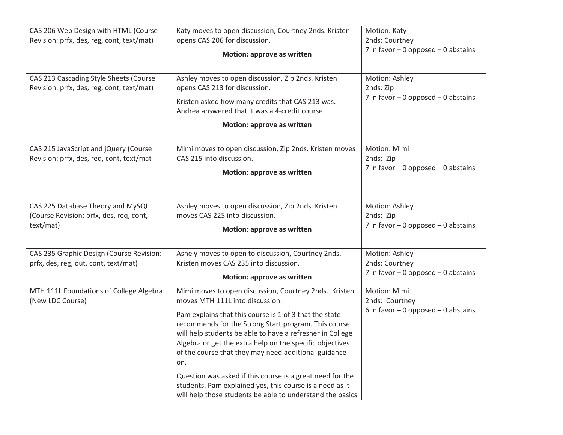| CAS 206 Web Design with HTML (Course<br>Revision: prfx, des, reg, cont, text/mat)<br>CAS 213 Cascading Style Sheets (Course<br>Revision: prfx, des, reg, cont, text/mat) | Katy moves to open discussion, Courtney 2nds. Kristen<br>opens CAS 206 for discussion.<br>Motion: approve as written<br>Ashley moves to open discussion, Zip 2nds. Kristen<br>opens CAS 213 for discussion.<br>Kristen asked how many credits that CAS 213 was.                                                                                                                                                                                                                                                                                                                          | Motion: Katy<br>2nds: Courtney<br>7 in favor $-0$ opposed $-0$ abstains<br>Motion: Ashley<br>2nds: Zip<br>7 in favor $-0$ opposed $-0$ abstains |
|--------------------------------------------------------------------------------------------------------------------------------------------------------------------------|------------------------------------------------------------------------------------------------------------------------------------------------------------------------------------------------------------------------------------------------------------------------------------------------------------------------------------------------------------------------------------------------------------------------------------------------------------------------------------------------------------------------------------------------------------------------------------------|-------------------------------------------------------------------------------------------------------------------------------------------------|
|                                                                                                                                                                          | Andrea answered that it was a 4-credit course.<br>Motion: approve as written                                                                                                                                                                                                                                                                                                                                                                                                                                                                                                             |                                                                                                                                                 |
| CAS 215 JavaScript and jQuery (Course<br>Revision: prfx, des, req, cont, text/mat                                                                                        | Mimi moves to open discussion, Zip 2nds. Kristen moves<br>CAS 215 into discussion.<br>Motion: approve as written                                                                                                                                                                                                                                                                                                                                                                                                                                                                         | Motion: Mimi<br>2nds: Zip<br>7 in favor $-0$ opposed $-0$ abstains                                                                              |
| CAS 225 Database Theory and MySQL<br>(Course Revision: prfx, des, req, cont,<br>text/mat)                                                                                | Ashley moves to open discussion, Zip 2nds. Kristen<br>moves CAS 225 into discussion.<br>Motion: approve as written                                                                                                                                                                                                                                                                                                                                                                                                                                                                       | Motion: Ashley<br>2nds: Zip<br>7 in favor $-0$ opposed $-0$ abstains                                                                            |
| CAS 235 Graphic Design (Course Revision:<br>prfx, des, reg, out, cont, text/mat)                                                                                         | Ashely moves to open to discussion, Courtney 2nds.<br>Kristen moves CAS 235 into discussion.<br>Motion: approve as written                                                                                                                                                                                                                                                                                                                                                                                                                                                               | Motion: Ashley<br>2nds: Courtney<br>7 in favor $-0$ opposed $-0$ abstains                                                                       |
| MTH 111L Foundations of College Algebra<br>(New LDC Course)                                                                                                              | Mimi moves to open discussion, Courtney 2nds. Kristen<br>moves MTH 111L into discussion.<br>Pam explains that this course is 1 of 3 that the state<br>recommends for the Strong Start program. This course<br>will help students be able to have a refresher in College<br>Algebra or get the extra help on the specific objectives<br>of the course that they may need additional guidance<br>on.<br>Question was asked if this course is a great need for the<br>students. Pam explained yes, this course is a need as it<br>will help those students be able to understand the basics | Motion: Mimi<br>2nds: Courtney<br>6 in favor $-0$ opposed $-0$ abstains                                                                         |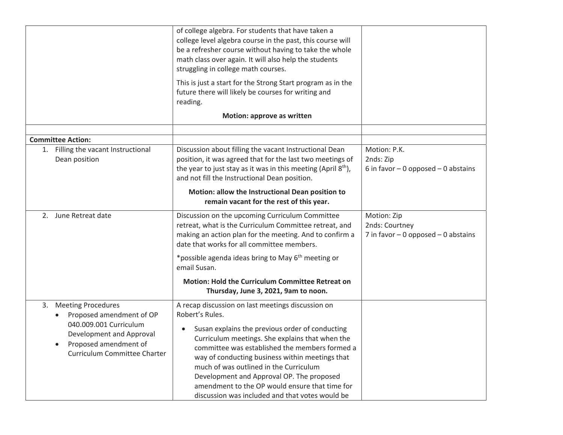|                                                                                                                                                                  | of college algebra. For students that have taken a<br>college level algebra course in the past, this course will<br>be a refresher course without having to take the whole<br>math class over again. It will also help the students<br>struggling in college math courses.                                                                                                                                                                                                  |                                                                      |
|------------------------------------------------------------------------------------------------------------------------------------------------------------------|-----------------------------------------------------------------------------------------------------------------------------------------------------------------------------------------------------------------------------------------------------------------------------------------------------------------------------------------------------------------------------------------------------------------------------------------------------------------------------|----------------------------------------------------------------------|
|                                                                                                                                                                  | This is just a start for the Strong Start program as in the<br>future there will likely be courses for writing and<br>reading.                                                                                                                                                                                                                                                                                                                                              |                                                                      |
|                                                                                                                                                                  | Motion: approve as written                                                                                                                                                                                                                                                                                                                                                                                                                                                  |                                                                      |
| <b>Committee Action:</b>                                                                                                                                         |                                                                                                                                                                                                                                                                                                                                                                                                                                                                             |                                                                      |
| 1. Filling the vacant Instructional<br>Dean position                                                                                                             | Discussion about filling the vacant Instructional Dean<br>position, it was agreed that for the last two meetings of<br>the year to just stay as it was in this meeting (April 8 <sup>th</sup> ),<br>and not fill the Instructional Dean position.<br>Motion: allow the Instructional Dean position to<br>remain vacant for the rest of this year.                                                                                                                           | Motion: P.K.<br>2nds: Zip<br>6 in favor $-0$ opposed $-0$ abstains   |
| 2. June Retreat date                                                                                                                                             | Discussion on the upcoming Curriculum Committee<br>retreat, what is the Curriculum Committee retreat, and<br>making an action plan for the meeting. And to confirm a<br>date that works for all committee members.                                                                                                                                                                                                                                                          | Motion: Zip<br>2nds: Courtney<br>7 in favor - 0 opposed - 0 abstains |
|                                                                                                                                                                  | *possible agenda ideas bring to May 6 <sup>th</sup> meeting or<br>email Susan.                                                                                                                                                                                                                                                                                                                                                                                              |                                                                      |
|                                                                                                                                                                  | <b>Motion: Hold the Curriculum Committee Retreat on</b><br>Thursday, June 3, 2021, 9am to noon.                                                                                                                                                                                                                                                                                                                                                                             |                                                                      |
| 3. Meeting Procedures<br>Proposed amendment of OP<br>040.009.001 Curriculum<br>Development and Approval<br>Proposed amendment of<br>Curriculum Committee Charter | A recap discussion on last meetings discussion on<br>Robert's Rules.<br>Susan explains the previous order of conducting<br>Curriculum meetings. She explains that when the<br>committee was established the members formed a<br>way of conducting business within meetings that<br>much of was outlined in the Curriculum<br>Development and Approval OP. The proposed<br>amendment to the OP would ensure that time for<br>discussion was included and that votes would be |                                                                      |